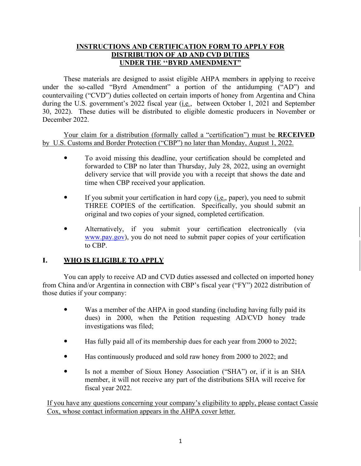# **INSTRUCTIONS AND CERTIFICATION FORM TO APPLY FOR DISTRIBUTION OF AD AND CVD DUTIES UNDER THE ''BYRD AMENDMENT"**

These materials are designed to assist eligible AHPA members in applying to receive under the so-called "Byrd Amendment" a portion of the antidumping ("AD") and countervailing ("CVD") duties collected on certain imports of honey from Argentina and China during the U.S. government's 2022 fiscal year (i.e*.*, between October 1, 2021 and September 30, 2022). These duties will be distributed to eligible domestic producers in November or December 2022.

Your claim for a distribution (formally called a "certification") must be **RECEIVED** by U.S. Customs and Border Protection ("CBP") no later than Monday, August 1, 2022.

- To avoid missing this deadline, your certification should be completed and forwarded to CBP no later than Thursday, July 28, 2022, using an overnight delivery service that will provide you with a receipt that shows the date and time when CBP received your application.
- If you submit your certification in hard copy  $(i.e., paper)$ , you need to submit THREE COPIES of the certification. Specifically, you should submit an original and two copies of your signed, completed certification.
- Alternatively, if you submit your certification electronically (via [www.pay.gov\)](http://www.pay.gov/), you do not need to submit paper copies of your certification to CBP.

# **I. WHO IS ELIGIBLE TO APPLY**

You can apply to receive AD and CVD duties assessed and collected on imported honey from China and/or Argentina in connection with CBP's fiscal year ("FY") 2022 distribution of those duties if your company:

- Was a member of the AHPA in good standing (including having fully paid its dues) in 2000, when the Petition requesting AD/CVD honey trade investigations was filed;
- Has fully paid all of its membership dues for each year from 2000 to 2022;
- Has continuously produced and sold raw honey from 2000 to 2022; and
- Is not a member of Sioux Honey Association ("SHA") or, if it is an SHA member, it will not receive any part of the distributions SHA will receive for fiscal year 2022.

If you have any questions concerning your company's eligibility to apply, please contact Cassie Cox, whose contact information appears in the AHPA cover letter.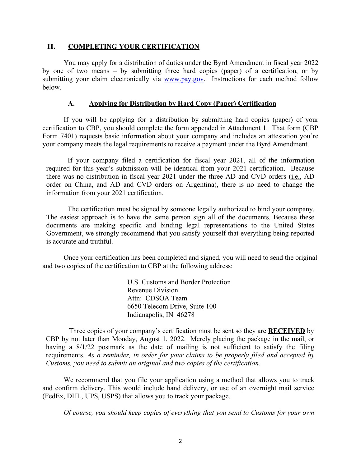#### **II. COMPLETING YOUR CERTIFICATION**

You may apply for a distribution of duties under the Byrd Amendment in fiscal year 2022 by one of two means – by submitting three hard copies (paper) of a certification, or by submitting your claim electronically via [www.pay.gov.](http://www.pay.gov/) Instructions for each method follow below.

### **A. Applying for Distribution by Hard Copy (Paper) Certification**

If you will be applying for a distribution by submitting hard copies (paper) of your certification to CBP, you should complete the form appended in Attachment 1. That form (CBP Form 7401) requests basic information about your company and includes an attestation you're your company meets the legal requirements to receive a payment under the Byrd Amendment.

If your company filed a certification for fiscal year 2021, all of the information required for this year's submission will be identical from your 2021 certification. Because there was no distribution in fiscal year 2021 under the three AD and CVD orders (i.e., AD order on China, and AD and CVD orders on Argentina), there is no need to change the information from your 2021 certification.

The certification must be signed by someone legally authorized to bind your company. The easiest approach is to have the same person sign all of the documents. Because these documents are making specific and binding legal representations to the United States Government, we strongly recommend that you satisfy yourself that everything being reported is accurate and truthful.

Once your certification has been completed and signed, you will need to send the original and two copies of the certification to CBP at the following address:

> U.S. Customs and Border Protection Revenue Division Attn: CDSOA Team 6650 Telecom Drive, Suite 100 Indianapolis, IN 46278

Three copies of your company's certification must be sent so they are **RECEIVED** by CBP by not later than Monday, August 1, 2022. Merely placing the package in the mail, or having a  $8/1/22$  postmark as the date of mailing is not sufficient to satisfy the filing requirements. *As a reminder, in order for your claims to be properly filed and accepted by Customs, you need to submit an original and two copies of the certification.*

We recommend that you file your application using a method that allows you to track and confirm delivery. This would include hand delivery, or use of an overnight mail service (FedEx, DHL, UPS, USPS) that allows you to track your package.

*Of course, you should keep copies of everything that you send to Customs for your own*